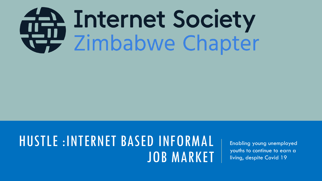# Thernet Society<br>Timbabwe Chapter

# HUSTLE :INTERNET BASED INFORMAL JOB MARKET

Enabling young unemployed youths to continue to earn a living, despite Covid 19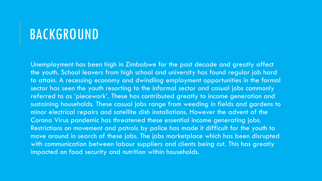#### BACKGROUND

Unemployment has been high in Zimbabwe for the past decade and greatly affect the youth. School leavers from high school and university has found regular job hard to attain. A recessing economy and dwindling employment opportunities in the formal sector has seen the youth resorting to the informal sector and casual jobs commonly referred to as 'piecework'. These has contributed greatly to income generation and sustaining households. These casual jobs range from weeding in fields and gardens to minor electrical repairs and satellite dish installations. However the advent of the Corona Virus pandemic has threatened these essential income generating jobs. Restrictions on movement and patrols by police has made it difficult for the youth to move around in search of these jobs. The jobs marketplace which has been disrupted with communication between labour suppliers and clients being cut. This has greatly impacted on food security and nutrition within households.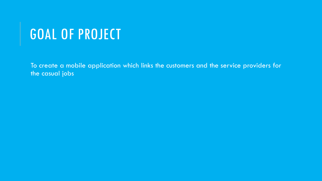# GOAL OF PROJECT

To create a mobile application which links the customers and the service providers for the casual jobs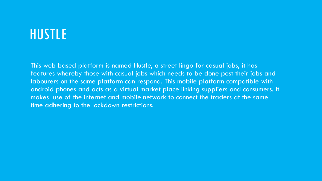# HUSTLE

This web based platform is named Hustle, a street lingo for casual jobs, it has features whereby those with casual jobs which needs to be done post their jobs and labourers on the same platform can respond. This mobile platform compatible with android phones and acts as a virtual market place linking suppliers and consumers. It makes use of the internet and mobile network to connect the traders at the same time adhering to the lockdown restrictions.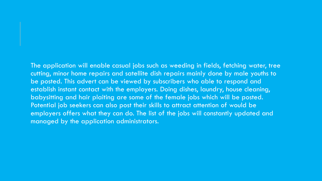The application will enable casual jobs such as weeding in fields, fetching water, tree cutting, minor home repairs and satellite dish repairs mainly done by male youths to be posted. This advert can be viewed by subscribers who able to respond and establish instant contact with the employers. Doing dishes, laundry, house cleaning, babysitting and hair plaiting are some of the female jobs which will be posted. Potential job seekers can also post their skills to attract attention of would be employers offers what they can do. The list of the jobs will constantly updated and managed by the application administrators.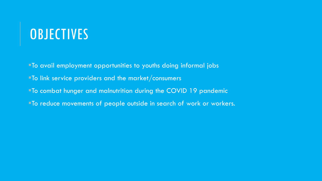### **OBJECTIVES**

To avail employment opportunities to youths doing informal jobs To link service providers and the market/consumers To combat hunger and malnutrition during the COVID 19 pandemic **To reduce movements of people outside in search of work or workers.**